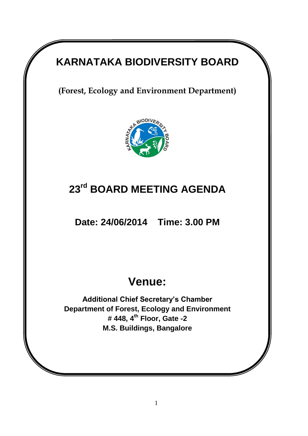# **KARNATAKA BIODIVERSITY BOARD**

**(Forest, Ecology and Environment Department)** 



# **23rd BOARD MEETING AGENDA**

**Date: 24/06/2014 Time: 3.00 PM**

# **Venue:**

**Additional Chief Secretary's Chamber Department of Forest, Ecology and Environment # 448, 4th Floor, Gate -2 M.S. Buildings, Bangalore**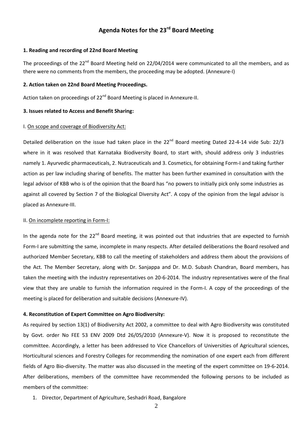# **Agenda Notes for the 23rd Board Meeting**

### **1. Reading and recording of 22nd Board Meeting**

The proceedings of the 22<sup>nd</sup> Board Meeting held on 22/04/2014 were communicated to all the members, and as there were no comments from the members, the proceeding may be adopted. (Annexure-I)

#### **2. Action taken on 22nd Board Meeting Proceedings.**

Action taken on proceedings of 22<sup>nd</sup> Board Meeting is placed in Annexure-II.

#### **3. Issues related to Access and Benefit Sharing:**

#### I. On scope and coverage of Biodiversity Act:

Detailed deliberation on the issue had taken place in the 22<sup>nd</sup> Board meeting Dated 22-4-14 vide Sub: 22/3 where in it was resolved that Karnataka Biodiversity Board, to start with, should address only 3 industries namely 1. Ayurvedic pharmaceuticals, 2. Nutraceuticals and 3. Cosmetics, for obtaining Form-I and taking further action as per law including sharing of benefits. The matter has been further examined in consultation with the legal advisor of KBB who is of the opinion that the Board has "no powers to initially pick only some industries as against all covered by Section 7 of the Biological Diversity Act". A copy of the opinion from the legal advisor is placed as Annexure-III.

#### II. On incomplete reporting in Form-I:

In the agenda note for the 22<sup>nd</sup> Board meeting, it was pointed out that industries that are expected to furnish Form-I are submitting the same, incomplete in many respects. After detailed deliberations the Board resolved and authorized Member Secretary, KBB to call the meeting of stakeholders and address them about the provisions of the Act. The Member Secretary, along with Dr. Sanjappa and Dr. M.D. Subash Chandran, Board members, has taken the meeting with the industry representatives on 20-6-2014. The industry representatives were of the final view that they are unable to furnish the information required in the Form-I. A copy of the proceedings of the meeting is placed for deliberation and suitable decisions (Annexure-IV).

#### **4. Reconstitution of Expert Committee on Agro Biodiversity:**

As required by section 13(1) of Biodiversity Act 2002, a committee to deal with Agro Biodiversity was constituted by Govt. order No FEE 53 ENV 2009 Dtd 26/05/2010 (Annexure-V). Now it is proposed to reconstitute the committee. Accordingly, a letter has been addressed to Vice Chancellors of Universities of Agricultural sciences, Horticultural sciences and Forestry Colleges for recommending the nomination of one expert each from different fields of Agro Bio-diversity. The matter was also discussed in the meeting of the expert committee on 19-6-2014. After deliberations, members of the committee have recommended the following persons to be included as members of the committee:

1. Director, Department of Agriculture, Seshadri Road, Bangalore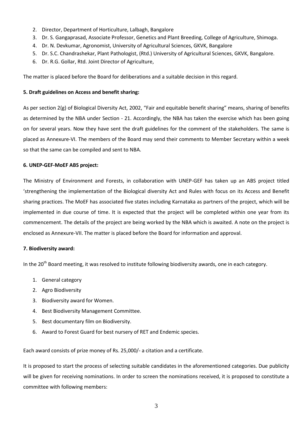- 2. Director, Department of Horticulture, Lalbagh, Bangalore
- 3. Dr. S. Gangaprasad, Associate Professor, Genetics and Plant Breeding, College of Agriculture, Shimoga.
- 4. Dr. N. Devkumar, Agronomist, University of Agricultural Sciences, GKVK, Bangalore
- 5. Dr. S.C. Chandrashekar, Plant Pathologist, (Rtd.) University of Agricultural Sciences, GKVK, Bangalore.
- 6. Dr. R.G. Gollar, Rtd. Joint Director of Agriculture,

The matter is placed before the Board for deliberations and a suitable decision in this regard.

## **5. Draft guidelines on Access and benefit sharing:**

As per section 2(g) of Biological Diversity Act, 2002, "Fair and equitable benefit sharing" means, sharing of benefits as determined by the NBA under Section - 21. Accordingly, the NBA has taken the exercise which has been going on for several years. Now they have sent the draft guidelines for the comment of the stakeholders. The same is placed as Annexure-VI. The members of the Board may send their comments to Member Secretary within a week so that the same can be compiled and sent to NBA.

# **6. UNEP-GEF-MoEF ABS project:**

The Ministry of Environment and Forests, in collaboration with UNEP-GEF has taken up an ABS project titled 'strengthening the implementation of the Biological diversity Act and Rules with focus on its Access and Benefit sharing practices. The MoEF has associated five states including Karnataka as partners of the project, which will be implemented in due course of time. It is expected that the project will be completed within one year from its commencement. The details of the project are being worked by the NBA which is awaited. A note on the project is enclosed as Annexure-VII. The matter is placed before the Board for information and approval.

### **7. Biodiversity award:**

In the 20<sup>th</sup> Board meeting, it was resolved to institute following biodiversity awards, one in each category.

- 1. General category
- 2. Agro Biodiversity
- 3. Biodiversity award for Women.
- 4. Best Biodiversity Management Committee.
- 5. Best documentary film on Biodiversity.
- 6. Award to Forest Guard for best nursery of RET and Endemic species.

Each award consists of prize money of Rs. 25,000/- a citation and a certificate.

It is proposed to start the process of selecting suitable candidates in the aforementioned categories. Due publicity will be given for receiving nominations. In order to screen the nominations received, it is proposed to constitute a committee with following members: